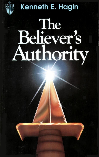

**Kenneth E. Hagin** 

# The<br>Believer's<br>Authority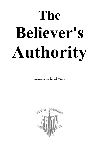# **The Believer's Authority**

Kenneth E. Hagin

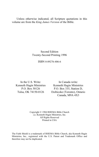Unless otherwise indicated, all Scripture quotations in this volume are from the *King James Version* of the Bible.

> Second Edition Twenty-Second Printing 1996

> > ISBN 0-89276-406-6

In the U.S. Write: Kenneth Hagin Ministries P.O. Box 50126 Tulsa, OK 74150-0126

In Canada write: Kenneth Hagin Ministries P.O. Box 335, Station D, Etobicoke (Toronto), Ontario Canada, M9A 4X3

Copyright © 1984 RHEMA Bible Church AKA Kenneth Hagin Ministries, Inc. All Rights Reserved Printed in USA

The Faith Shield is a trademark of RHEMA Bible Church, aka Kenneth Hagin Ministries, Inc., registered with the U.S. Patent and Trademark Office and therefore may not be duplicated.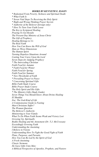#### *BOOKS BY KENNETH E. HAGIN*

*\* Redeemed From Poverty, Sickness and Spiritual Death \* What Faith Is \* Seven Vital Steps To Receiving the Holy Spirit \* Right and Wrong Thinking Prayer Secrets \* Authority of the Believer (foreign only) \* How To Turn Your Faith Loose The Key to Scriptural Healing Praying To Get Results The Present-Day Ministry of Jesus Christ The Gift of Prophecy Healing Belongs to Us The Real Faith How You Can Know the Will of God Man on Three Dimensions The Human Spirit Turning Hopeless Situations Around Casting Your Cares Upon the Lord Seven Steps for Judging Prophecy \* The Interceding Christian Faith Food for Autumn \* Faith Food for Winter Faith Food for Spring Faith Food for Summer \* New Thresholds of Faith \* Prevailing Prayer to Peace \* Concerning Spiritual Gifts Bible Faith Study Course Bible Prayer Study Course The Holy Spirit and His Gifts \* The Ministry Gifts (Study Guide) Seven Things You Should Know About Divine Healing El Shaddai Zoe: The God-Kind of Life A Commonsense Guide to Fasting Must Christians Suffer? The Woman Question The Believer's Authority Ministering to Your Family What To Do When Faith Seems Weak and Victory Lost Growing Up, Spiritually Bodily Healing and the Atonement (Dr. T.J. McCrossan) Exceedingly Growing Faith Understanding the Anointing I Believe in Visions Understanding How To Fight the Good Fight of Faith Plans, Purposes, and Pursuits How You Can Be Led by the Spirit of God A Fresh Anointing Classic Sermons He Gave Gifts Unto Men: A Biblical Perspective of Apostles, Prophets, and Pastors*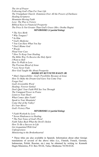*The Art of Prayer Following God's Plan For Your Life The Triumphant Church: Dominion Over All the Powers of Darkness Healing Scriptures Mountain-Moving Faith Love: The Way to Victory Biblical Keys to Financial Prosperity The Price Is Not Greater Than God's Grace (Mrs. Oretha Hagin)*

#### *MINIBOOKS (A partial listing)*

*\* The New Birth \* Why Tongues? \* In Him \* God's Medicine \* You Can Have What You Say \* Don't Blame God \* Words Plead Your Case \* How To Keep Your Healing The Bible Way To Receive the Holy Spirit I Went to Hell How To Walk in Love The Precious Blood of Jesus \* Love Never Fails How God Taught Me About Prosperity*

#### *BOOKS BY KENNETH HAGIN JR.*

*\* Man's Impossibility—God's Possibility Because of Jesus How To Make the Dream God Gave You Come True Forget Not! God's Irresistible Word Healing: Forever Settled Don't Quit! Your Faith Will See You Through The Untapped Power in Praise Listen to Your Heart What Comes After Faith? Speak to Your Mountain! Come Out of the Valley! It's Your Move! God's Victory Plan*

#### *MINIBOOKS (A partial listing)*

*\* Faith Worketh by Love \* Seven Hindrances to Healing \* The Past Tense of God's Word Faith Takes Back What the Devil's Stolen How To Be a Success in Life Get Acquainted With God Unforgiveness Ministering to the Brokenhearted*

\* These titles are also available in Spanish. Information about other foreign translations of several of the above titles (i.e., Finnish, French, German, Indonesian, Polish, Russian, etc.) may be obtained by writing to: Kenneth Hagin Ministries, P.O. Box 50126, Tulsa, Oklahoma 74150-0126.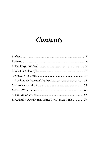# **Contents**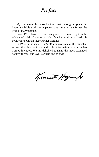## *Preface*

My Dad wrote this book back in 1967. During the years, the important Bible truths in its pages have literally transformed the lives of many people.

Since 1967, however, Dad has gained even more light on the subject of spiritual authority. He often has said he wished this book could contain these further insights.

In 1984, in honor of Dad's 50th anniversary in the ministry, we reedited this book and added the information he always has wanted included. We are delighted to share this new, expanded book with you, our loyal partners and friends.

Kennet Hazie fr.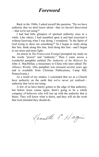### *Foreword*

Back in the 1940s, I asked myself the question, "Do we have authority that we don't know about—that we haven't discovered —that we're not using?"

I had had little glimpses of spiritual authority once in a while. Like others, I had stumbled upon it and had exercised it without knowing what I was doing. I wondered, "Is the Spirit of God trying to show me something?" So I began to study along this line, think along this line, feed along this line—and I began to see more and more light.

An article in *The Pentecostal Evangel* prompted my study on the words "power" and "authority." Then I came across a wonderful pamphlet entitled *The Authority of the Believer* by John A. MacMillan, a missionary to China who later edited *The Alliance Weekly.* (His pamphlet was reissued several years ago and is available from Christian Publications, Camp Hill, Pennsylvania.)

As a result of my studies, I concluded that we as a Church have authority on the earth that we've never yet realized authority that we're not using.

A few of us have barely gotten to the edge of that authority, but before Jesus comes again, there's going to be a whole company of believers who will rise up with the authority that is theirs. They will know what is theirs, and they will do the work that God intended they should do.

Kennett E. Hagin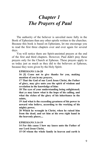# *Chapter 1 The Prayers of Paul*

The authority of the believer is unveiled more fully in the Book of Ephesians than any other epistle written to the churches. Because this book is based on Ephesians, let me encourage you to read the first three chapters over and over again for several days.

You will notice there are Spirit-anointed prayers at the end of the first and third chapters. However, Paul didn't pray these prayers only for the Church at Ephesus. These prayers apply to us today just as much as they did to the believers at Ephesus, because they were given by the Holy Spirit.

#### **EPHESIANS 1:16-20**

**16 [I] Cease not to give thanks for you, making mention of you in my prayers,**

**17 That the God of our Lord Jesus Christ, the Father of glory, may give unto you the spirit of wisdom and revelation in the knowledge of him:**

**18 The eyes of your understanding being enlightened; that ye may know what is the hope of his calling, and what the riches of the glory of his inheritance in the saints,**

**19 And what is the exceeding greatness of his power to usward who believe, according to the working of his mighty power,**

**20 Which he wrought in Christ, when he raised him from the dead, and set him at his own right hand in the heavenly places....**

#### **EPHESIANS 3:14-19**

**14 For this cause I bow my knees unto the Father of our Lord Jesus Christ,**

**15 Of whom the whole family in heaven and earth is**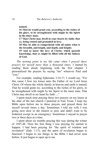**named,**

**16 That he would grant you, according to the riches of his glory, to be strengthened with might by his Spirit in the inner man;**

**17 That Christ may dwell in your hearts by faith; that ye, being rooted and grounded in love,**

**18 May be able to comprehend with all saints what is the breadth, and length, and depth, and height;**

**19 And to know the love of Christ, which passeth knowledge, that ye might be filled with all the fulness of God.**

*The turning point in my life came when I prayed these prayers for myself more than a thousand times.* I started by reading them aloud, beginning with the first chapter. I personalized the prayers by saying "me" wherever Paul said "you."

For example, reading Ephesians 3:14-17, I would say, "For this cause I bow my knees unto the Father of *my* Lord Jesus Christ, Of whom the whole family in heaven and earth is named, That he would grant *me,* according to the riches of his glory, to be strengthened with might by his Spirit in the inner man; That Christ may dwell in *my* heart by faith ...."

I spent much time praying these two prayers on my knees at the altar of the last church I pastored in East Texas. I kept my Bible open before me to these prayers and prayed them for myself several times a day. Sometimes I told my wife I was going next door to the church to pray and didn't want to be bothered except in an emergency. Sometimes I stayed in prayer two or three days at a time.

I spent about six months praying this way during the winter of 1947-48. Then the first thing I was praying for started to happen. I had been praying for "the spirit of wisdom and revelation" (Eph. 1:17), and the spirit of revelation began to function! I began to see things in the Bible I had never seen before. It just began to open up to me.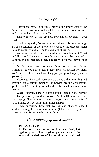I advanced more in spiritual growth and knowledge of the Word in those six months than I had in 14 years as a minister and in more than 16 years as a Christian.

That was one of the greatest spiritual discoveries I ever made.

I said to my wife, "What in the world have I been preaching? I was so ignorant of the Bible, it's a wonder the deacons didn't have to come by and tell me to get in out of the rain!"

We must have this spirit of wisdom and revelation of Christ and His Word if we are to grow. It is not going to be imparted to us through our intellect, either. The Holy Spirit must unveil it to us.

People often want to know how to pray for fellow Christians. If you start praying these Ephesian prayers for them, you'll see results in their lives. I suggest you pray the prayers for yourself, too.

Years ago, I prayed these prayers twice a day, morning and evening, for a family member. He needed healing desperately, yet he couldn't seem to grasp what the Bible teaches about divine healing.

When I prayed, I inserted this person's name in the prayers as I had previously inserted my own. Within 10 days, he wrote me, saying, "I'm beginning to see things I never saw before." (The minute you get scriptural, things happen.)

It was surprising how fast my kinfolks changed once I started praying for them scripturally. (I had been praying for some of them for years with no results.)

#### *The Authority of the Believer*

#### **EPHESIANS 6:12**

**12 For we wrestle not against flesh and blood, but against principalities, against powers, against the rulers of the darkness of this world, against spiritual**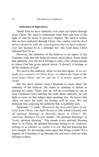#### **wickedness in high places.**

Thank God we have authority over such evil spirits through Jesus Christ. We need to understand what Paul said here in the light of what he wrote in previous chapters. We need to realize that we have authority through Christ. *Our combat with the devil always should be with the consciousness that we have authority over him* because he is a defeated foe—the Lord Jesus Christ defeated him for us.

However, the authority of the believer is an aspect of the Christian walk that few believers know much about. Some think that authority over the devil belongs to only a few chosen people to whom God has given special power. It doesn't; it belongs to all the children of God!

We receive this authority when we are born again. *As we are made new creatures in Christ Jesus, we inherit the Name of the Lord Jesus Christ, and we can use it in prayer against the enemy.*

But the devil doesn't want Christians to learn about the authority of the believer. He wants to continue to defeat us anytime he wants. That's why he will do everything he can to keep Christians from learning the truth about authority; he will fight us more on this subject than anything else. He knows that when we learn the truth, his heyday will be over. We will dominate him, enjoying the authority that is rightfully ours.

Ephesians 1:3 reads, *"Blessed be the God and Father of our Lord Jesus Christ, who hath blessed us* [the whole Church] *with all spiritual blessings in heavenly places in Christ." The American Standard Version* renders *"all* spiritual blessings" as "every spiritual blessing." This means every spiritual blessing there is. In Christ, all spiritual blessings belong to us. *Authority belongs to us whether we realize it or not.* But just knowing this isn't enough. It's knowledge acted upon that brings results! It's a tragedy for Christians to go through life and never find out what belongs to them.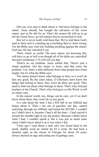Did you ever stop to think about it: Salvation belongs to the sinner. Jesus already has bought the salvation of the worst sinner, just as He did for us. That's the reason He told us to go tell the Good News; go tell sinners they're reconciled to God.

But we've never really told them that. We've told them God's mad at them and is counting up everything they've done wrong. Yet the Bible says God isn't holding anything against the sinner! God says He has canceled it out.

That's what's so awful: The poor sinner, not knowing this, will have to go to hell even though all of his debts are cancelled! Second Corinthians 5:19 will tell you that.

There's no sin problem. Jesus settled that. There's just a sinner problem. Get the sinner to Jesus, and that cures the problem. Yes, that's a little different from what people have been taught, but it's what the Bible says.

The sinner doesn't know what belongs to him, so it won't do him any good. By the same token, if Christians don't know the things that belong to them, they won't do them any good. They need to find out about what belongs to them. That's why God put teachers in the Church. That's why God gave us His Word: to tell us what's ours.

In the natural world, too, things can be ours, yet if we don't know about them, they won't do us any good.

I've told about the time I hid a \$20 bill in my billfold and forgot about it. Then I ran out of gasoline one day, started searching through my billfold, and found the \$20 bill. I couldn't say I didn't have it, because I had it all the time—I had carried it around for months right in my hip pocket. Because I didn't know what I had, I couldn't spend it, but it was just as much mine when I didn't know about it as it was when I did.

Years ago I read about a man who was found dead in the small, shabby room he rented for \$3 a week. He had been a familiar sight on the streets of Chicago for about 20 years, always dressed in rags and eating out of garbage cans.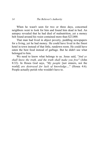When he wasn't seen for two or three days, concerned neighbors went to look for him and found him dead in bed. An autopsy revealed that he had died of malnutrition, yet a money belt found around his waist contained more than \$23,000.

That man had lived in abject poverty, peddling newspapers for a living, yet he had money. He could have lived in the finest hotel in town instead of that little, rundown room. He could have eaten the best food instead of garbage. But he didn't use what belonged to him.

We need to know what belongs to us. Jesus said, *"And ye shall know the truth, and the truth shall make you free"* (John 8:32). In Hosea God says, *"My people* [not sinners, not the world] *are destroyed for lack of knowledge*...." (Hosea 4:6). People actually perish who wouldn't have to.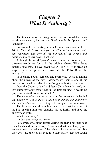# *Chapter 2 2. What Is Authority?*

The translators of the *King James Version* translated many words consistently, but not the Greek words for "power" and "authority."

For example, in the *King James Version,* Jesus says in Luke 10:19, *"Behold, I give unto you POWER to tread on serpents and scorpions, and over all the POWER of the enemy: and nothing shall by any means hurt you.*"

Although the word "power" is used twice in this verse, two different words are found in the original Greek. What Jesus actually said was, "I have given you AUTHORITY to tread on serpents and scorpions, and over all the POWER of the enemy...."

In speaking about "serpents and scorpions," Jesus is talking about the power of the devil—demons, evil spirits, and all his cohorts. We need to realize that we've got authority over them!

Does the Church of the Lord Jesus Christ have (or need) any less authority today than it had in the first century? It would be preposterous to think so, wouldn't it?

The value of our authority rests on the power that is behind that authority. *God Himself is the power behind our authority! The devil and his forces are obliged to recognize our authority!*

The believer who thoroughly understands that the power of God is backing him can exercise his authority and face the enemy fearlessly.

What is authority?

*Authority is delegated power.*

Policemen who direct traffic during the rush hour just raise their hands and the cars stop. These men don't have the physical *power* to stop the vehicles if the drivers choose not to stop. But they don't use their own strength to stop traffic; they are strong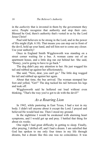in the *authority* that is invested in them by the government they serve. People recognize that authority and stop their cars. Blessed be God, there's authority that's vested in us by the Lord Jesus Christ!

Paul told believers to be strong in the Lord, and in the power of His might (Eph. 6:10). That means you can step out in front of the devil, hold up your hand, and tell him not to come any closer. Use your authority!

Once in England Smith Wigglesworth was standing on a street corner waiting for a bus. A woman came out of an apartment house, and a little dog ran out behind her. She said, "Honey, you're going to have to go back."

The dog didn't pay any attention to her. He just wagged his tail and rubbed up against her affectionately.

She said, "Now, dear, you can't go." The little dog wagged his tail and rubbed up against her again.

About that time, the bus arrived. The woman stomped her foot and yelled, "Get!" The dog tucked his tail between his legs and took off.

Wigglesworth said he hollered out loud without even thinking, "That's the way you've got to do with the devil!"

#### *As a Roaring Lion*

In 1942, while pastoring in East Texas, I had a test in my body. I didn't tell anyone about it except the Lord. I prayed and believed He would heal me. Then I stood my ground.

In the nighttime I would be awakened with alarming heart symptoms, and I would get up and pray. I battled that thing for about six weeks.

One night I had great difficulty in getting to sleep. Finally, after praying, I drifted off, and I had a dream. I am satisfied that God has spoken to me only four times in my life through dreams, but a dream like this one was no coincidence. It was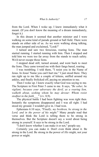from the Lord. When I woke up, I knew immediately what it meant. (If you don't know the meaning of a dream immediately, forget it.)

In this dream it seemed that another minister and I were walking on some kind of parade ground or ball field. There were stands on either side of us. As we were walking along talking, the man jumped and exclaimed, "Look!"

I turned and saw two ferocious, roaring lions. The man started running. I started running with him. Then I stopped and told him we were too far away from the stands to reach safety. We'd never escape those lions.

I stopped dead still, turned around, and went back to meet the lions. They came toward me with their fangs bared, roaring.

I was trembling. I told them, "I resist you in the Name of Jesus. In Jesus' Name you can't hurt me." I just stood there. They ran right up to me like a couple of kittens, sniffed around my ankles, and finally frolicked off, paying no attention to me.

Then I woke up. I knew exactly what God was saying to me. The Scripture in First Peter 5 came to me. It says, *"Be sober, be vigilant; because your adversary the devil, as a roaring lion, walketh about, seeking whom he may devour: Whom resist stedfast in the faith*\_\_\_" (vv. 8,9).

The physical battle I had been fighting was won right then. Instantly the symptoms disappeared and I was all right. I had stood my ground. I wouldn't give in. I had won.

Ephesians 6:10 says, *"Finally, my brethren, be strong in the Lord, and in the power of his might.*" Many people read that verse and think the Lord is telling them to be strong in themselves. But the Scripture doesn't say a word about being strong in yourself. It says to be strong in the Lord.

"I don't know whether I can make it or not," people say.

Certainly you can make it. Don't even think about it. Be strong in the Lord. Be strong in the power of *His* might, not your power or might.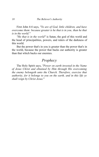First John 4:4 says, *"Ye are of God, little children, and have overcome them: because greater is he that is in you, than he that is in the world."*

*"He that is in the world"* is Satan, the god of this world and the head of principalities, powers, and rulers of the darkness of this world.

But the power that's in you is greater than the power that's in the world, because the power that backs our authority is greater than that which backs our enemies.

#### *Prophecy*

The Holy Spirit says, *"Power on earth invested in the Name of Jesus Christ and obtained by Him through His overcoming the enemy belongeth unto the Church. Therefore, exercise that authority, for it belongs to you on the earth, and in this life ye shall reign by Christ Jesus.*"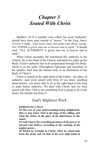# *Chapter 3 3. Seated With Christ*

Matthew 28:18 is another verse where the word "authority" should have been used instead of "power." In the *King James Version* it reads, *"And Jesus came and spake unto them, saying, ALL POWER is given unto me in heaven and in earth.*" It should read, "ALL AUTHORITY is given unto me in heaven and in earth."

When Christ ascended, He transferred His authority to the Church. He is the Head of the Church, and believers make up the Body. Christ's authority has to be perpetuated through His Body, which is on the earth. (Throughout Ephesians and elsewhere in the epistles, Paul uses the human body as an illustration of the Body of Christ.)

Christ is seated at the right hand of the Father—the place of authority—and we're seated with Him. If you know anything about history, you know that to sit at the right hand of the king or pope means authority. We died with Christ, and we were raised with Him. This is not something God is going to do in the future; He already has done it!

#### *God's Mightiest Work*

#### **EPHESIANS 1:18-23**

**18 The eyes of your understanding being enlightened; that ye may know what is the hope of his calling, and what the riches of the glory of his inheritance in the saints,**

**19 And what is the exceeding greatness of his power to usward who believe, according to the working of his mighty power,**

**20 Which he wrought in Christ, when he raised him from the dead, and set him at his own right hand in**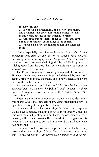**the heavenly places,**

**21 Far above all principality, and power, and might, and dominion, and every name that is named, not only in this world, but also in that which is to come: 22 And hath put all things under his feet, and gave him to be the head over all things to the church, 23 Which is his body, the fulness of him that filleth all in all.**

Notice especially the nineteenth verse: *"And what is the exceeding greatness of his power to usward who believe, according to the working of his mighty power.* " In other words, there was such an overwhelming display of God's power in raising Jesus from the dead that *this actually was the mightiest work of God ever recorded!*

The Resurrection was opposed by Satan and all his cohorts. However, his forces were confused and defeated by our Lord Jesus Christ, who arose, ascended, and is now seated at the right hand of the Father, far above them.

Remember the text in Colossians 2:15? *"And having spoiled principalities and powers, he* [Christ] *made a shew of them openly, triumphing over them in it* [His death, burial, and resurrection]."

These are the same demonic powers we have to deal with, but, thank God, Jesus defeated them. Other translations say He "put them to nought" or "paralyzed them."

In ancient times, victorious kings bringing back captives would have a parade, making a show of them openly. Jesus did this with the devil, putting him on display before three worlds heaven, hell, and earth—after He defeated him. God gave us this account in the Scriptures so we in this world would know what had happened.

God wants us to know what happened in the death, burial, resurrection, and seating of Jesus Christ. He wants us to know that He has set Christ *"Far above all principality, and power,*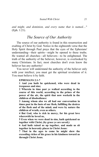*and might, and dominion, and every name that is named....*" (Eph. 1:21).

#### *The Source of Our Authority*

The source of our authority is found in this resurrection and exalting of Christ by God. Notice in the eighteenth verse that the Holy Spirit through Paul prays that the eyes of the Ephesians' understanding—their spirits—might be opened to these truths. He wanted all churches—all believers—to be enlightened. The truth of the authority of the believer, however, is overlooked by many Christians. In fact, most churches don't even know the believer has any authority!

You never will understand the authority of the believer only with your intellect; you must get the spiritual revelation of it. You must believe it by faith.

#### **EPHESIANS 2:1-7**

**1 And you hath he quickened, who were dead in trespasses and sins;**

**2 Wherein in time past ye walked according to the course of this world, according to the prince of the power of the air, the spirit that now worketh in the children of disobedience:**

**3 Among whom also we all had our conversation in times past in the lusts of our flesh, fulfilling the desires of the flesh and of the mind; and were by nature the children of wrath, even as others.**

**4 But God, who is rich in mercy, for his great love wherewith he loved us,**

**5 Even when we were dead in sins, hath quickened us together with Christ, (by grace ye are saved;)**

**6 And hath raised us up together, and made us sit together in heavenly places in Christ Jesus:**

**7 That in the ages to come he might shew the exceeding riches of his grace in his kindness toward us through Christ Jesus.**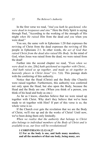In the first verse we read, *"And you hath he quickened, who were dead in trespasses and sins.*" Here the Holy Spirit is saying through Paul, "According to the working of the strength of His might *when He raised Him* from the dead *and you* when you were dead."

You see, the same verb in Ephesians 1:20 that expresses the reviving of Christ from the dead expresses the reviving of His people in Ephesians 2:1. In other words, *the act of God that raised Christ from the dead also raised His Body.* In the mind of God, when Jesus was raised from the dead, we were raised from the dead!

Further into the second chapter we read, *"Even when we were dead in sins,* [He] *hath quickened us together with Christ,.. .And hath raised us up together, and made us sit together in heavenly places in Christ Jesus"* (vv. 5,6). This passage deals with the conferring of this authority.

Notice that the Head (Christ) and the Body (the Church) were raised together. Furthermore, this authority was conferred not only upon the Head, but also upon the Body, because the Head and the Body are one. (When you think of a person, you think of his head and body as one.)

As far as I know, churches believe that we were raised up together with Christ. Why don't they believe that we've been made to sit together with Him? If part of this verse is so, the whole verse is so.

If the Church ever gets the revelation that we are the Body of Christ, we'll rise up and do the works of Christ! Until now, we've been doing them only limitedly.

*When we realize that the authority that belongs to Christ also belongs to individual members of the Body of Christ and is available to us, our lives will be revolutionized!*

#### **1 CORINTHIANS 12:12-14,27**

**12 For as the body is one, and hath many members, and all the members of that one body, being many, are**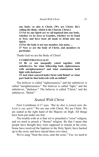**one body: so also is Christ. [We are Christ. He's calling the Body, which is the Church, Christ.]**

**13 For by one Spirit are we all baptized into one body, whether we be Jews or Gentiles, whether we be bond or free; and have been all made to drink into one Spirit.**

**14 For the body is not one member, but many ...**

**27 Now ye are the body of Christ, and members in particular.**

Thank God we are the Body of Christ!

#### **2 CORINTHIANS 6:14,15**

**14 Be ye not unequally yoked together with unbelievers: for what fellowship hath righteousness with unrighteousness? and what communion hath light with darkness?**

**15 And what concord hath Christ with Belial? or what part hath he that believeth with an infidel?**

The believer is called "righteousness," and the unbeliever is called "unrighteousness." The believer is called "light," and the unbeliever, "darkness." The believer is called "Christ," and the unbeliever, "Belial."

#### *Seated With Christ*

First Corinthians 6:17 says, *"But he that is joined unto the Lord is one spirit.*" We are one with Christ. We are Christ. We are seated at the right hand of the Majesty on High. All things have been put under our feet.

The trouble with us is that we've preached a "cross" religion, and we need to preach a "throne" religion. By that I mean that people have thought they were supposed to remain at the cross. Some have received the baptism in the Holy Spirit, have backed up to the cross, and have stayed there ever since.

We've sung "Near the cross, near the cross." Yes, we need to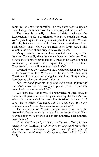come by the cross for salvation, but we don't need to remain there; let's go on to Pentecost, the Ascension, and the throne!

The cross is actually a place of defeat, whereas the Resurrection is a place of triumph. When you preach the cross, you're preaching death, and you leave people in death. We died all right, but we're raised with Christ. We're seated with Him. Positionally, that's where we are right now: We're seated with Christ in the place of authority in heavenly places.

Many Christians know nothing about the authority of the believer. They really don't believe we have any authority. They believe they're barely saved and they must go through life being dominated by the devil while living on Barely-Get-Along Street. They magnify the devil more than they do God.

We need to be delivered from the bondage of death and walk in the newness of life. We're not at the cross. We died with Christ, but He has raised us up together with Him. Glory to God, learn how to take your place of authority.

*The right hand of the throne of God is the center of power of the whole universe!* Exercising the power of the throne was committed to the resurrected Lord.

We know that Christ with His resurrected physical body is there in full possession of His rights, awaiting the Father's time when His enemies shall be made His footstool. Hebrews 1:13 says, *"But to which of the angels said he at any time, Sit on my right hand, until I make thine enemies thy footstool?"*

The elevation of Christ's people with Him into the heavenlies clearly points to the fact that we are to sit with Him, sharing not only His throne but also His authority. That authority belongs to us!

No wonder Paul said, writing to the Romans, *"For if by one man's offence* [spiritual] *death reigned by one; much more they which receive abundance of grace and of the gift of righteousness shall reign in life by one, Jesus Christ"* (Rom. 5:17).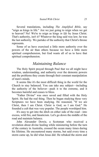Several translations, including *The Amplified Bible,* say "reign as kings in life." Are we just going to reign when we get to heaven? No! We're to reign as kings *in life* by Jesus Christ. That's authority, isn't it? Whatever the king said was law; he was the last authority. We partake of the authority that Christ's throne represents.

Some of us have exercised a little more authority over the powers of the air than others because we have a little more spiritual comprehension, but God wants all of us to have that spiritual comprehension.

#### *Maintaining Balance*

The Holy Spirit prayed through Paul that we all might have wisdom, understanding, and authority over the demonic powers and the problems they create through their constant manipulation of men's minds.

It seems like it's the most difficult thing in the world for the Church to stay balanced. You can take any subject—including the authority of the believer—push it to the extreme, and it becomes harmful and ceases to bless.

"Father Divine" was once saved and filled with the Holy Spirit. He had the real thing. Then he began studying these very Scriptures we have been studying. He reasoned, "If we are Christ, then I am Christ. Christ is God, so I am God." He founded a cult that was very popular. The people worshiped him.

It's easy to get into the ditch on either side of the road—into excess, wild fire, and fanaticism. Let's go down the middle of the road and maintain balance.

John Alexander Dowie, a Scotsman who received a revelation about divine healing while ministering before the turn of the century in Australia, crossed the ocean many times during his lifetime. He encountered many storms, but said every time a storm came up, he did what Jesus did: He rebuked the storm and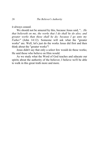it always ceased.

We should not be amazed by this, because Jesus said, ".. *.He that believeth on me, the works that I do shall he do also; and greater works than these shall he do; because I go unto my Father"* (John 14:12). Someone will ask what the "greater works" are. Well, let's just do the works Jesus did first and then think about the "greater works"!

Jesus didn't say that only a select few would do these works; He said those who believe on Him would.

As we study what the Word of God teaches and educate our spirits about the authority of the believer, I believe we'll be able to walk in this great truth more and more.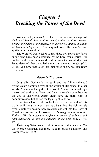# *Chapter 4 4. Breaking the Power of the Devil*

We see in Ephesians 6:12 that ".. *.we wrestle not against flesh and blood, but against principalities, against powers, against the rulers of the darkness of this world, against spiritual wickedness in high places"* [a marginal note calls them "wicked spirits in the heavenlies"].

The Word of God teaches us that these evil spirits are fallen angels who have been dethroned by the Lord Jesus Christ. Our contact with these demons should be with the knowledge that Jesus defeated them, spoiled them, put them to nought (Col. 2:15). And now that Jesus has dethroned them, we can reign over them!

#### *Adam's Treason*

Originally, God made the earth and the fullness thereof, giving Adam dominion over all the works of His hands. In other words, Adam was the god of this world. Adam committed high treason and sold out to Satan, and Satan, through Adam, became the god of this world. Adam didn't have the moral right to commit treason, but he had the legal right to do so.

Now Satan has a right to be here and be the god of this world until "Adam's lease" runs out. Satan had the right to rule over us until we became new creatures and got into the Body of Christ, as we see in Colossians 1: *"Giving thanks unto the Father... Who hath delivered us from the power of darkness, and hath translated us into the kingdom of his dear Son*...." (vv. 12,13).

That's why Satan has no right to rule us or dominate us. Yet the average Christian has more faith in Satan's authority and power than in God's!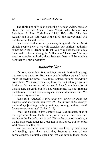The Bible not only talks about the first man Adam, but also about the second Adam, Jesus Christ, who became our Substitute. In First Corinthians 15:45, He's called "the *last* Adam," and in the 47th verse He's called "the *second* man." All that Jesus did He did for us.

Our trouble is that we relegate everything to the future! Most church people believe we will exercise our spiritual authority sometime in the Millennium. If that is so, why does the Bible say Satan will be bound during the Millennium? There won't be any *need* to exercise authority then, because there will be nothing here that will hurt or destroy.

#### *Authority Now*

It's now, when there is something that will hurt and destroy, that we have authority. But many people believe we can't have much of anything now. They think Satan's running everything down here. We must remember, however, that although we are *in* the world, we are not *of the* world. Satan's running a lot of what is here on earth, but he's not running me. He's not running the Church. He's not dominating us. We can dominate him. We have authority over him!

Jesus said, *''Behold, I give unto you power to tread on serpents and scorpions, and over ALL the power of the enemy: and nothing* [nothing, nothing, nothing, nothing, nothing] *shall by any means hurt you"* (Luke 10:19).

Does the Church in this century have less authority than it did right after Jesus' death, burial, resurrection, ascension, and seating at the Father's right hand? If it has less authority today, it would have been better for Jesus not to have died. But no, bless God, we *have* authority.

We need to build these truths into our lives by meditating and feeding upon them until they become a part of our consciousness. Naturally speaking, we eat certain foods every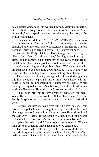day because doctors tell us we need certain vitamins, minerals, etc., to build strong bodies. There are spiritual "vitamins" and "minerals," so to speak, we need to take every day, too, to be healthy Christians.

Jesus said in Matthew 28:18, "..*.ALL POWER is given unto ME in heaven and in earth.*" All the authority that can be exercised upon the earth has to be exercised through the Church, because Christ is not here in person—in His physical body.

We are the Body of Christ. Even though we have prayed, "Now, Lord, You do this and that," leaving everything up to Him, He has conferred His authority on the earth to His Body, the Church. Thus, many problems exist because we *permit* them to—we're not doing anything about them. We're the ones who are supposed to do something about them, but we're trying to get someone else, including God, to do something about them.

This became real to me years ago when I was studying along this line. I couldn't explain it in my mind, but I knew it in my spirit. I began to understand this authority we have. While praying for my older brother's salvation, I heard the Lord, in my spirit, challenge me. He said, *"You* do something about it!"

I had been praying for my brother's salvation for many years. He was what you would call the "black sheep" of the family. In spite of my prayers, he seemed to get worse instead of better.

I always had prayed, "God save him." I'd even fasted. I was prone to slip back into praying this way, but after the Lord challenged *me* to do something about it—after He told me I had the authority—I said, "In the Name of Jesus, I break the power of the devil over my brother's life, and I claim his salvation!"

I gave the order. I didn't keep saying it or praying it. When a king gives an order, he knows it's going to be carried out.

The devil tried to tell me my brother never would be saved, but I shut my mind off and started laughing. I said, "I don't *think* he'll be saved—I *know* it! I took the Name of Jesus and broke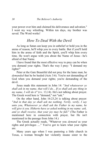your power over him and claimed his deliverance and salvation." I went my way whistling. Within ten days, my brother was saved. The Word works!

#### *How To Deal With the Devil*

As long as Satan can keep you in unbelief or hold you in the arena of reason, he'll whip you in every battle. But if you'll hold him in the arena of faith and the Spirit, you'll whip him every time. He won't argue with you about the Name of Jesus—he's afraid of that Name.

I have found that the most effective way to pray can be when you demand your rights. That's the way I pray: "I demand my rights!"

Peter at the Gate Beautiful did not pray for the lame man; he *demanded* that he be healed (Acts 3:6). You're not demanding of God when you demand your rights; you're demanding of the devil.

Jesus made this statement in John 14: *"And whatsoever ye shall ask in my name, that will I do.*.. *If ye shall ask any thing in my name, I will do it"* (vv. 13,14). He's not talking about prayer. The Greek word here is "demand," not "ask."

On the other hand, John 16:23,24 is talking about prayer: *"And in that day ye shall ask me nothing. Verily, verily, I say unto you, Whatsoever ye shall ask the Father in my name, he will give it you. Hitherto have ye asked nothing in my name: ask, and ye shall receive, that your joy may be full.*" (The Father is mentioned here in connection with prayer, but He isn't mentioned in the passage from John 14.)

The Greek actually reads, "Whatever you *demand* as your rights and privileges ...." You've got to learn what your rights are.

Many years ago when I was pastoring a little church in Texas, a woman brought her violently insane sister to the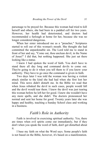parsonage to be prayed for. Because this woman had tried to kill herself and others, she had been in a padded cell for two years. However, her health had deteriorated, and doctors had recommended a furlough at home for her, because she was no longer considered dangerous.

When her sister introduced me as a "preacher," Scriptures started to roll out of this woman's mouth. She thought she had committed the unpardonable sin. The Lord told me to stand in front of her and say, "Come out, thou unclean devil, in the Name of Jesus!" I did that, but nothing happened. She just sat there looking like a statue.

I knew I had spoken the word of faith. You don't have to stand there all day long and command devils to come out. They're going to do it when you tell them to if you know your authority. They have to go once the command is given in faith.

Two days later I was told the woman was having a violent attack similar to the kind she had had when she first lost her mind. This news didn't disturb me. In the Bible we read that when Jesus rebuked the devil in such cases, people would fall and the devil would tear them. I knew the devil was just tearing this woman before he left her for good. I knew she wouldn't have any more spells, and she didn't. The doctors pronounced her normal and sent her home for good. Twenty years later she was happy and healthy, teaching a Sunday School class and working in a business.

#### *Faith's Role in Authority*

Faith is involved in exercising spiritual authority. Yes, there are times when evil spirits come out immediately, but if they don't when you speak the word of faith, don't get disturbed about it.

I base my faith on what the Word says. Some people's faith is not based on the Bible, however, it's based on a manifestation.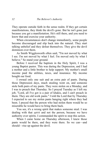They operate outside faith in the sense realm. If they get certain manifestations, they think the devil's gone. But he isn't gone just because you get a manifestation. He's still there, and you need to know that and exercise your authority.

When circumstances don't change immediately, some people become discouraged and slip back into the natural. They start talking unbelief and they defeat themselves. They give the devil dominion over them.

As Smith Wigglesworth often said, "I'm not moved by what I see. I'm not moved by what I feel. I'm moved only by what I believe." So stand your ground.

Before I received the baptism in the Holy Spirit, I was a young Baptist pastor. This was during the Depression, and I had a mother and a little brother to help support. My mother's small income paid the utilities, taxes, and insurance. My income bought our food.

I owned only one suit and an extra pair of pants. During those Depression days, much stealing went on, and someone stole both pairs of my pants. They were stolen on a Monday, and I was to preach that Thursday. So I prayed Tuesday as I left my job, "Lord, all I've got is a pair of khakis, and I can't preach in them. They are old work pants." I told the Lord that by Thursday I expected to see my stolen pants hanging right where they had been. I prayed that the person who had stolen them would be so miserable he would have to bring them back.

You see, it's a wrong spirit that makes someone steal. I was dealing with that *spirit* and not the person, because we have authority over spirits. I commanded the spirit to stop this action.

When I came home on Thursday afternoon, I knew those pants would be there, and they were there. So we can—and should—rise up against the devil.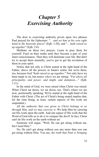# *Chapter 5 5. Exercising Authority*

The door to exercising authority pivots upon two phrases Paul prayed for the Ephesians: ".. *.and set him at his own right hand in the heavenly places*'' (Eph. 1:20), and ".. *.hath raised us up together"* (Eph. 2:6).

Meditate on these two prayers. Learn to pray them for yourself. Feed on their truths until they become a part of your inner consciousness. Then they will dominate your life. But don't try to accept them mentally; you've got to get the revelation of them in your spirit.

Notice that not only is Christ seated at the right hand of the Father, above all the powers in Satan's realm, but we're there, too, because God *"hath raised us up together.*" Not only have we been made to sit, but notice *where* we are sitting: *"Far above all principality, and power, and might, and dominion*...." (Eph. 1:21).

In the mind of God, we were raised when Christ was raised. When Christ sat down, we sat down, too. That's where we are now, positionally speaking: We're seated at the right hand of the Father with Christ. (The act of Christ's being seated implies that, for the time being, at least, certain aspects of His work are suspended.)

*All the authority that was given to Christ belongs to us through Him, and we may exercise it.* We help Him by carrying out His work upon the earth. And one aspect of His work that the Word of God tells us to do is to conquer the devil! In fact, Christ can't do His work on the earth without us!

Someone will argue, "Well, He can get along without me, but I need Him."

No, He can't get along without you any more than you can get along without Him. You see, *the truth that Paul is bringing*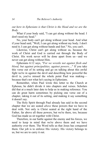*out here in Ephesians is that Christ is the Head and we are the Body.*

What if your body said, "I can get along without the head. I don't need my head."

No, your body can't get along without your head. And what if your head said, "Well, I can get along without my body. I don't need it; I can get along without hands and feet." No, you can't.

Likewise, Christ can't get along without us, because the work of Christ and God is carried out through the Body of Christ. His work never will be done apart from us—and we never can get along without Him.

Ephesians 6:12 says, *"For we wrestle not against flesh and blood, but against principalities, against powers*...." If you take this verse out of its setting and go on talking about this awful fight we're in against the devil and describing how powerful the devil is, you've missed the whole point Paul was making because that's not what he's saying in Ephesians.

Remember, when Paul wrote this letter to the Church at Ephesus, he didn't divide it into chapters and verses. Scholars did that at a much later date to help us in making reference. You can do great harm sometimes by picking one verse out of a chapter, taking it out of its setting, and making it say something it doesn't say.

The Holy Spirit through Paul already has said in the second chapter that we are seated *above* these powers that we have to deal with. Not only is Christ seated at the right hand of the Father, far above all these powers, but we're there, too, because God has made us sit together with Christ.

Therefore, in our battle against the enemy and his forces, we need to keep in mind that we're above them and we have authority over them. The Word tells us that Jesus has conquered them. Our job is to enforce His victory. His victory belongs to us, but we are to carry it out.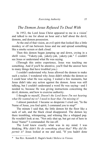#### *The Demon Jesus Refused To Deal With*

In 1952, the Lord Jesus Christ appeared to me in a vision<sup>[\\*](#page-34-0)</sup> and talked to me for about an hour and a half about the devil, demons, and demon possession.

At the end of that vision, an evil spirit that looked like a little monkey or elf ran between Jesus and me and spread something like a smoke screen or dark cloud.

Then this demon began jumping up and down, crying in a shrill voice, "Yakety-yak, yakety-yak, yakety-yak." I couldn't see Jesus or understand what He was saying.

(Through this entire experience, Jesus was teaching me something. And if you'll be attentive, you'll find the answer here to many things that have troubled you.)

I couldn't understand why Jesus allowed the demon to make such a racket. I wondered why Jesus didn't rebuke the demon so I could hear what He was saying. I waited a few moments, but Jesus didn't take any action against the demon. Jesus was still talking, but I couldn't understand a word He was saying—and I needed to, because He was giving instructions concerning the devil, demons, and how to exercise authority.

I thought to myself, *Doesn't the Lord know I'm not hearing what He wanted me to? I need to hear that. I'm missing it!*

I almost panicked. I became so desperate I cried out, "In the Name of Jesus, you foul spirit, I command you to stop!"

The minute I said that, the little demon hit the floor like a sack of salt, and the black cloud disappeared. The demon lay there trembling, whimpering, and whining like a whipped pup. He wouldn't look at me. "Not only shut up, but get out of here in Jesus' Name!" I commanded. He ran off.

The Lord knew exactly what was in my mind. I was thinking, *Why didn't He do something about that? Why did He permit it?* Jesus looked at me and said, "If you hadn't done

<span id="page-34-0"></span><sup>\*</sup> See Rev. Kenneth E. Hagin's book *I Believe in Visions.*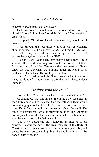something about that, I couldn't have."

That came as a real shock to me—it astounded me. I replied, "Lord, I know I didn't hear You right! You said You *wouldn't,* didn't You?"

He replied, "No, if you hadn't done something about that, I *couldn't* have."

I went through this four times with Him. He was emphatic about it, saying, "No, I didn't say I *would* not, I said I *could* not."

I said, "Now, dear Lord, I just can't accept that. I never heard or preached anything like that in my life!"

I told the Lord I didn't care how many times I saw Him in visions—He would have to prove this to me by at least three Scriptures out of the New Testament (because we're not living under the Old Covenant, we're living under the New). Jesus smiled sweetly and said He would give me four.

I said, "I've read through the New Testament 150 times, and many portions of it more than that. If that is in there, I don't know it!"

#### *Dealing With the Devil*

Jesus replied, "Son, there is a lot in there you don't know."

He continued, "Not one single time in the New Testament is the Church ever told to pray that God the Father or Jesus would do anything against the devil. In fact, to do so is to waste your time. *The believer* is told to do something about the devil. The reason is because you have the authority to do it. The Church is not to pray to God the Father about the devil; the Church is to exercise the authority that belongs to it.

"The New Testament tells believers themselves to do something about the devil. The least member of the Body of Christ has just as much power over the devil as anyone else, and unless believers do something about the devil, nothing will be done in a lot of areas."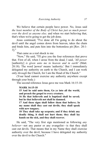We believe that certain people have power. No, Jesus said *the least member of the Body of Christ has just as much power over the devil as anyone else;* and when we start believing that, that's when we're going to get the job done.

Jesus continued, "I've done all I'm going to do about the devil until the angel comes down from heaven, takes the chain and binds him, and puts him into the bottomless pit [Rev. 20:1- 3]."

That came as a real shock to me.

"Now," He said, "I'll give you the four references that prove that. First of all, when I arose from the dead, I said, *'All power* [authority] *is given unto me in heaven and in earth'* (Matt. 28:18). The word 'power' means 'authority.' But I immediately delegated my authority on earth to the Church, and I can work only *through* the Church, for I am the Head of the Church."

(Your head cannot exercise any authority anywhere except through your body.)

The second reference Jesus gave me was Mark 16:15-18:

**MARK 16:15-18**

**15 And he said unto them, Go ye into all the world, and preach the gospel to every creature.**

**16 He that believeth and is baptized shall be saved; but he that believeth not shall be damned.**

**17 And these signs shall follow them that believe; In my name shall they cast out devils; they shall speak with new tongues;**

**18 They shall take up serpents; and if they drink any deadly thing, it shall not hurt them; they shall lay hands on the sick, and they shall recover.**

He said, "The very first sign mentioned as following *any believer—*not any pastor or any evangelist—is that they shall cast out devils. That means that in my Name they shall exercise authority over the devil, because I have delegated my authority over the devil to the Church."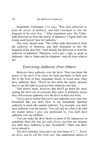Remember, Colossians 1:13 says, *"Who hath delivered us from the power of darkness, and hath translated us into the kingdom of his dear Son*...." (One translation says *"the Father* hath delivered us from the power of darkness.") Again that's the Greek word 'power' here for 'authority.'

The verse should read, "The Father hath delivered us from the *authority* of darkness, and hath translated us into the kingdom of his dear Son." God already has delivered us from the authority of darkness! Therefore, we've got a right to speak to darkness—that is, Satan and his kingdom—and tell them what to do!

### *Exercising Authority Over Others*

Believers have authority over the devil. They can break the power of the devil if he raises his head anywhere in their own life or the lives of their immediate family or loved ones. They have authority there. They'll be free from the enemy because they've got the right to exercise their authority over him.

That doesn't mean, however, that they'll go down the street casting the devil out of everyone they meet. It primarily means they will exercise authority over the devil in their own lives.

You've got to realize that you've got authority over your own household that you don't have in my household. Spiritual authority is much like natural authority. For example, you don't have authority over my money. You can't tell me what to do with my money unless I give you permission to. You don't have authority over my children.

You can make the devil desist in some of his maneuvers in somebody else's life, but you can't *always* cast him out, because you don't have authority in that "household." That's one place we've missed it.

The next reference Jesus gave me was James 4:7: ".. *.Resist the devil, and he will flee from you"* (the understood subject of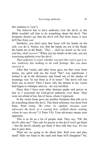this sentence is "you").

The believer has to have authority over the devil, or the Bible wouldn't tell him to do something about the devil. This Scripture doesn't say that the devil will flee from Jesus; it says he'll flee from *you!*

Similarly, you don't pray that Jesus will lay hands on the sick; *you* do it. Notice, too, that the hands are not in the Head; the hands are in the Body: *"They ... shall lay hands on the sick, and they shall recover.*" When you lay hands on the sick, you are exercising authority over the devil.

*That authority is yours whether you feel like you've got it or not. Authority has nothing to do with feelings. But you must exercise it.*

After that vision, and after Jesus gave me that verse from James, my spirit told me the word "flee" was significant. I looked it up in the dictionary and found one of the shades of meanings was "to run from as if in terror." The devil will run from you in terror! Then I knew why the demon in my vision had begun to whimper and cry—he was terrified.

Since then I have seen other demons quake and quiver in fear as I exercised my God-given authority over them. They were not afraid of me, but of Jesus, whom I represent.

In the vision Jesus gave me another Scripture that tells us to do something about the devil. This third reference was from First Peter. Peter wrote, *"Be sober, be vigilant; because your adversary the devil, as a roaring lion, walketh about, seeking whom he may devour"* (1 Peter 5:8). Your adversary means your opponent.

This is as far as a lot of people read. They say, "Oh, the devil's after me!" They ask for prayer so the devil won't get them —but the devil's already got them if they talk that way. It's too late to pray then.

What are we going to do about him: Roll over and play dead? Hide our head in the sand and hope he'll disappear? No,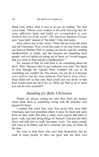thank God, notice what it says as we go on reading. The next verse reads, *"Whom resist stedfast in the faith, knowing that the same afflictions* [tests and trials] *are accomplished in your brethren that are in the world.*" *The American Standard Version* says "your faith" instead of "the faith." I like that better.

Jesus said to me in this vision, "Peter did not write this letter and tell Christians, 'Now, word has come to me that God's using our beloved Brother Paul in casting out devils, and he's sending handkerchiefs or cloths, and the diseases are departing from people, and evil spirits are going out of them, so I would suggest that you write to Paul and get a handkerchief.' "

No, instead of that, he told *them* to do something about the devil. Why? Because they've got authority over him. The Spirit of God through the Apostle Peter wouldn't tell you to do something you couldn't do. The reason you can do it is because *every believer has the same authority Paul had in Jesus Christ.* Peter didn't tell us that only Paul could cast out devils or that Paul would resist the devil for us. (Why get Paul to do it when you can do it for yourself?)

## *Standing for Baby Christians*

People are always asking me why they don't get healed. Some think there is something wrong with the preacher who prayed for them!

I explain that when they were first saved, they were baby Christians, and God permitted others to pray for them and carry them on their faith. But after a while, God expects that baby to grow, walk, and start doing things for himself. God puts the baby down and tells him to walk, but many won't. Too many people still want to be babies and have someone else pray for them all the time.

We want to help those who can't help themselves, but we need to teach people so they can grow and use their own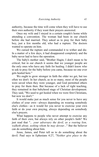authority, because the time will come when they will have to use their own authority if they want their prayers answered.

Once my wife and I stayed in a certain couple's home while attending a convention. The woman had been in our church before she had married. They asked us to pray for their baby boy, just a few months old, who had a rupture. The doctors wanted to operate on him.

We cursed the rupture and commanded it to wither and die. In a matter of a few days, it had disappeared completely and the baby never had to have the operation.

The baby's mother said, "Brother Hagin, I don't mean to be critical, but in our church it seems that we younger people are the only ones who have any faith for healing. I didn't know who to ask to pray for the baby before you came, because no one ever gets healed here."

We ought to grow stronger in faith the older we get, but too often we don't. In her church, as in so many, most of the people were saved when they were younger, and God permitted others to pray for them then. But because of a lack of right teaching, they remained in that babyhood stage of Christian development. They said, "We used to get healed when we were first Christians, but now we don't."

It would make just as much sense for you never to have any clothes of your own—always depending on wearing somebody else's clothes—as it would for you never to exercise your own faith or do your own praying, always depending on somebody else's prayers.

What happens to people who never attempt to exercise any faith of their own, but always rely on other people's faith? We just read that ".. *.your adversary the devil, as a roaring lion, walketh about, seeking whom he may devour...*" But the believer can do something about him.

Jesus, James, and Peter tell us to do something about the devil. Paul says in Ephesians 4:27, *"Neither give place to the*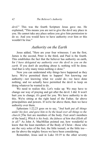*devil.*" This was the fourth Scripture Jesus gave me. He explained, "This means you are not to give the devil any place in you. He cannot take any place unless you give him permission to do so. And you would have to have authority over him or this wouldn't be true."

### *Authority on the Earth*

Jesus added, "Here are your four witnesses. I am the first, James is the second, Peter is the third, and Paul is the fourth. This establishes the fact that the believer has authority on earth, for *I have delegated my authority over the devil to you on the earth.* If you don't do anything about it, nothing will be done. And that is why many times nothing *is* done."

Now you can understand why things have happened as they have. We've permitted them to happen! Not knowing our authority—not knowing what we could do—we have done nothing, and we actually have permitted the devil to keep on doing whatever he wanted to do.

We need to realize this. Let's wake up. We may have to change our way of praying and get after the devil. I did. It won't hurt you to change; it's good for you. We have authority to do this. We're sitting at the right hand of the Father, far above principalities and powers. If we're far above them, then we have authority over them.

Ephesians 1:22,23 goes on to say, *"And hath put all things under his feet, and gave him to be the head over all things to the church* [The feet are members of the body. Feet aren't members of the head.], *Which is his body, the fulness of him that filleth all in all.*" As John A. MacMillan pointed out, how wonderful to know that the least members of the Body of Christ—those who are the very soles of the feet, the little toenail, or the little toe are far above the mighty forces we have been considering.

Remember, Jesus said in Luke 10:19 to the other seventy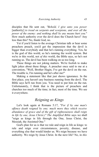disciples that He sent out, *"Behold, I give unto you power* [authority] *to tread on serpents and scorpions, and over all the power of the enemy: and nothing shall by any means hurt you.*" How much authority over the devil does the Church have? Any less than this? No, thank God, no.

Yet if you'd listen to the average Christian talk or hear some preachers preach, you'd get the impression that the devil is bigger than everybody and that he's running everything. Yes, he is the god of this world, so he's running the world system. But we're *in* this world, not *of this* world, the Bible says, so he's not running us. The devil has been walking on us too long.

These things are not joking matters. We're foolish to make light jokes about these things. A preacher once said to me at a convention, "Well, Brother Hagin, I've got the devil on the run. The trouble is, I'm running and he's after me!"

Making a statement like that just shows ignorance. In the first place, you haven't any business running from the devil. The Bible says he'll run from you. You need to put him on the run. Unfortunately, I think that is the picture of preachers and churches too much of the time; in fact, most of the time. We see it everywhere.

### *Reigning as Kings*

Let's look again at Romans 5:17, *"For if by one man's offence death reigned by one; much more they which receive abundance of grace and of the gift of righteousness shall reign in life by one, Jesus Christ.)" The Amplified Bible* says we shall "reign as kings in life through the One, Jesus Christ, the Messiah, the Anointed One."

God's plan for us is that we rule and reign in life as kings: to rule and reign over circumstances, poverty, disease, and everything else that would hinder us. We reign because we have authority. We reign by Jesus Christ. In the next life? No, in *this*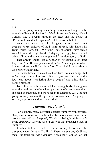life.

If we're going to sing something or say something, let's be sure it's in line with the Word of God. Some people sing, "Here I wander, like a beggar, through the heat and the cold," or "Precious Jesus, don't forget me"—all kinds of unbelief.

We're not wandering like beggars, because we're not beggars. We're children of God, heirs of God, joint-heirs with Jesus Christ (Rom. 8:17). We're the Body of Christ. We're seated with Christ at the right hand of Majesty on High, far above all principalities and power and might and dominion, glory to God!

That doesn't sound like a beggar or "Precious Jesus don't forget me," or "If I can just make it in," or "Standing somewhere in the shadows you'll find Jesus," or "Lord, build me a cabin in the corner of gloryland."

I'd rather hear a donkey bray than listen to such songs, but we've sung them so long we believe they're true. People shed a few tears about "wandering like a beggar" and think they're getting blessed!

Too often we Christians act like young birds, having our eyes shut and our mouths wide open. Anybody can come along and feed us anything, and we re ready to accept it. Well, I'm not going to keep my mouth open and my eyes shut; I'm going to keep my eyes open and my mouth shut!

## *Humility vs. Poverty*

For example, many Christians equate humility with poverty. One preacher once told me how humble another was because he drove a very old car. I replied, "That's not being humble—that's being *ignorant!"* Driving an old car was that preacher's idea of humility.

Another fellow remarked, "You know, Jesus and the disciples never drove a Cadillac!" There weren't any Cadillacs then. But Jesus did ride a donkey. It was the "Cadillac" of that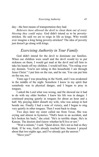day—the best means of transportation they had.

*Believers have allowed the devil to cheat them out of every blessing they could enjoy.* God didn't intend us to be povertystricken. He said we are to reign in life as kings. Who would ever imagine a king being poverty-stricken? The idea of poverty just doesn't go along with kings.

### *Exercising Authority in Your Family*

God didn't intend for the devil to dominate our families. When our children were small and the devil would try to put sickness on them, I would get mad at the devil and tell him to take his hands off my children. I would tell him, "I'm ruling over my domain. You're not ruling in this household; I am through Jesus Christ." I put him on the run, and he ran. You can put him on the run, too.

Years ago I was preaching in the North, and I was awakened in the middle of the night. Somehow I knew in my spirit that somebody was in physical danger, and I began to pray in tongues.

I asked the Lord what was wrong, and He showed me it had to do with my older brother. I knew his life was in danger. I continued praying quietly in tongues for about an hour and a half. My praying didn't disturb my wife, who was asleep in bed beside me. Finally I had a note of victory, and I began to sing very quietly in other tongues. Then I went back to sleep.

Two days later my sister called me from Texas. She was crying and almost in hysterics. "Dub's been in an accident, and he's broken his back," she cried. "He's in terrible shape. He's in Kansas. The doctors don't know whether he'll live or not."

"Wait a minute," I said. "Quiet down. He's not as bad as they think. If he was, God's already touched him, because I prayed about that two nights ago, and I've already got the answer."

"Have you?"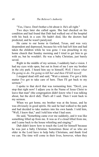"Yes, I have. Don't bother a bit about it. He's all right."

Two days later she called again. She had checked on his condition and had found that Dub had walked out of the hospital with his back in a cast. He hadn't died, like the doctors had predicted, and he wasn't paralyzed.

He came to our home in Garland, Texas, and was very despondent and depressed, because his wife had left him and had taken the children while he was gone. I was preaching in my home church that Sunday morning and I tried to get him to go with us, but he wouldn't. He was a baby Christian, just barely saved.

Right in the middle of my sermon, I suddenly had a vision. I had my eyes wide open, but out in front of me I saw my brother in the city park. I heard him say to himself, *Well, I know what I'm going to do. I'm going to kill her and then I'II kill myself.*

I stopped dead still and said, "Wait a minute. I've got a little matter I've got to take care of here. Then I'll get back to my sermon."

I spoke to that devil that was tormenting him: "Devil, you stop that right now! I adjure you in the Name of Jesus Christ to leave that man" (the congregation didn't know who I was talking about, but the devil did). That's all I said. Then I went back to my sermon.

When we got home, my brother was at the house, and he was obviously in good spirits. He said he had walked to the park and had decided to take matters into his own hands. I told him, "Well, I knew that," and I told him what I had seen.

He said, "Something came over me suddenly, and it was like something lifted up from me. It was as if a cloud lifted from me, and I came back to the house whistling and singing."

Dub didn't know how to touch the Lord for himself because he was just a baby Christian. Sometimes those of us who are older in the Lord have to help baby Christians, and thank God we can. The time will come in their lives, however, when they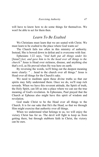will have to know how to do some things for themselves. We won't be able to act for them then.

### *Learn To Be Exalted*

We Christians must learn that we are seated with Christ. We must learn to be exalted to the place where God wants us!

The Church fails too often in this ministry of authority. Instead, She is bowed down in defeat and is overcome with fear.

Ephesians 1:22 says, *"And hath put all things under his* [Jesus'] *feet, and gave him to be the head over all things to the church.*" Jesus is Head over sickness, disease, and anything else that's evil, as He proved when He was here on earth.

By reversing the words, we'll bring out the deepest meaning more clearly: " .. .head to the church over all things." Jesus is Head over all things for the Church's sake.

We need to meditate upon these divine truths so that our spirits may fully understand them. Once we do, we'll reap rich rewards. When we have this reverent attitude, the Spirit of truth, the Holy Spirit, can lift us into a place where we can see the true meaning of God's revelation. In Ephesians, Paul prayed that the Church at Ephesus also might have this spirit of wisdom and revelation.

God made Christ to be the Head over all things to the Church. It is for our sake that He's the Head, so that we through Him might exercise that authority over all things.

When we understand what belongs to us, we will enjoy the victory Christ has for us. The devil will fight to keep us from getting there, but through stubborn faith in Christ, the victory can be ours.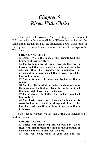# *Chapter 6 6. Risen With Christ*

In the Book of Colossians, Paul is writing to the Church at Colossae. Although he uses slightly different words, he says the same things he has said to the Ephesians about God's plan of redemption. He doesn't preach a new or different message to the Colossians.

#### **COLOSSIANS 1:15-20**

**15 [Jesus] Who is the image of the invisible God, the firstborn of every creature:**

**16 For by him were all things created, that are in heaven, and that are in earth, visible and invisible, whether they be thrones, or dominions, or principalities, or powers: all things were created by him, and for him:**

**17 And he is before all things, and by him all things consist.**

**18 And he is the head of the body, the church: who is the beginning, the firstborn from the dead; that in all things he might have the preeminence.**

**19 For it pleased the Father that in him should all fulness dwell;**

**20 And, having made peace through the blood of his cross, by him to reconcile all things unto himself; by him, I say, whether they be things in earth, or things in heaven.**

In the second chapter, we see that Christ was quickened by God the Father:

#### **COLOSSIANS 2:12-15**

**12 Buried with him in baptism, wherein also ye are risen with him through the faith of the operation of God, who hath raised him from the dead.**

**13 And you, being dead in your sins and the**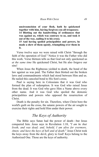**uncircumcision of your flesh, hath he quickened together with him, having forgiven you all trespasses; 14 Blotting out the handwriting of ordinances that was against us, which was contrary to us, and took it out of the way, nailing it to his cross;**

**15 And having spoiled principalities and powers, he made a shew of them openly, triumphing over them in it.**

Verse twelve says we were raised with Christ "through the faith of the operation of God." Notice it was the Father who did this work. Verse thirteen tells us that God not only quickened us *at the same time* He quickened Christ, but He also forgave our sins!

When Jesus the Righteous yielded to death, the bond of the law against us was paid. The Father then blotted out the broken laws and commandments which had stood between Him and us. He nailed this canceled bond to His Son's cross.

Paul is saying here in Colossians that it was God who formed the plan of redemption. It was God who raised Jesus from the dead. It was God who gave Him a Name above every other name. And it was God who spoiled the demonic principalities and powers who opposed the resurrection of Christ.

Death is the penalty for sin. Therefore, when Christ bore the world's guilt on the cross, the satanic powers of the air sought to exercise their rights and hold Him under their power.

### *The Keys of Authority*

The Bible says Satan had the power of death—but Jesus conquered him. Jesus says in Revelation 1:18, *"I am he that liveth, and was dead; and, behold, I am alive for evermore, Amen; and have the keys of hell and of death.*" Jesus Christ took the keys away from the devil, glory to God! Keys belong to the Authorized One. Those are the keys of authority.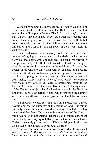We must remember that physical death is not of God; it is of the enemy. Death is still an enemy. The Bible says it is the last enemy that will be put underfoot. Thank God, that day's coming, but you don't have your new body yet. You'll meet people who believe they are going to live forever down here in the flesh, but notice none of them ever do. One fellow argued with me about this belief, and I replied, "If Paul never made it, you might as well forget it."

I can't understand how anybody could be that stupid and believe he's going to live forever in the flesh—in his present body. No, that body's got to be changed. You can't live forever in this present body. The Bible tells us when it will be changed: when Jesus comes. In a moment, in the twinkling of an eye, the bodies of us who are alive then will be changed and become immortal. Until then we have only a limited power over death.

After stripping the demonic powers of the authority that had been theirs, Christ *"made a shew of them openly, triumphing over them in it"* (Col. 2:15). Paul's statement here refers to the fact that Christ was elevated above His enemies to the right hand of the Father, a subject that Paul writes about in the Book of Ephesians, as we saw earlier. Again Paul is stressing the Father's work in the overthrow of satanic powers and the defeat of Satan himself.

In Ephesians we also saw that the Son is seated above these powers and has the authority of the throne of God. But this is precisely where the church world as a whole has failed. It has understood that Jesus Christ is the Supreme Head of the Church, but it has failed to understand that the Head is totally dependent on the Body for carrying out His plans; that we are seated with Christ in heavenly places; and that His exercising authority over the powers of the air has to be through the Body.

Now we can understand as never before what Jesus meant when He said, "..*.Whatsoever ye shall bind on earth shall be bound in heaven: and whatsoever ye shall loose on earth shall*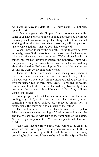*be loosed in heaven"* (Matt. 18:18). That's using His authority upon the earth.

A few of us get a little glimpse of authority once in a while; some of us have sort of stumbled upon it and exercised it without realizing what we were doing. The thing that got me started studying along this line was when I asked myself the question: "Do we have authority that we don't know we have?"

When I began to study the subject, I found that we do have authority, thank God. I also found that heaven will back us up on what we refuse and what we allow. We've allowed a lot of things, but we just haven't exercised our authority. That's why things are as they are many times: We haven't done anything about the situation. We're waiting on God, and He's waiting on us, and He won't do anything until we act.

There have been times when I have been praying about a loved one near death, and the Lord has said to me, "I'll do whatever you tell Me to do." In one instance I asked the Lord to give the person two or three more years. He replied He would, just because I had asked Him to. He told me, "No earthly father desires to do more for his children than I do, if my children would just let Me!"

Some people think that God's a tyrant sitting on His throne holding a giant flyswatter in His hand. The minute you do something wrong, they believe He's ready to smash you to smithereens. But that's not a true picture of the Father.

The Lord is hindered in His plans because His Body has failed to appreciate the meaning of Christ's exaltation and the fact that we are seated with Him at the right hand of the Father. We have a part to play in this: We must cooperate with the Lord in faith.

Jesus said that the Holy Spirit, who comes to dwell in us when we are born again, would guide us into all truth. A preacher once picked up a Bible and threw it to the floor, declaring he didn't need it because he had the Holy Spirit. But he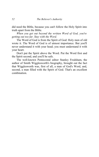did need the Bible, because you can't follow the Holy Spirit into truth apart from the Bible.

*When you get out beyond the written Word of God, you're getting out too far. Stay with the Word.*

The Word of God is from the Spirit of God: Holy men of old wrote it. The Word of God is of utmost importance. But you'll never understand it with your head; you must understand it with your heart.

Don't put the Spirit above the Word. Put the Word first and the Spirit second, and you'll be safe.

The well-known Pentecostal editor Stanley Frodsham, the author of Smith Wigglesworth's biography, brought out the fact that Wigglesworth was, first of all, a man of God's Word, and, second, a man filled with the Spirit of God. That's an excellent combination.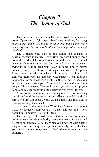# *Chapter 7 7. The Armor of God*

The believer must continually be arrayed with spiritual armor. Ephesians 6:10,11 says, *"Finally, my brethren, be strong in the Lord, and in the power of his might. Put on the whole armour of God, that ye may be able to stand against the wiles of the devil.*"

The Christian who puts on this armor and engages in spiritual warfare is marked. By spiritual warfare I simply mean doing the works of Jesus and taking our authority over the devil as we go about our daily lives. I am not talking about purposely trying to go head-to-head with Satan in some kind of prayer combat. The devil will do everything in his power to keep you from coming into this knowledge of authority over him. He'll fight you more over this than any other subject. Then, after you have come to the knowledge of this authority, he'll oppose you and try to steal it from you. There will be tests, and sometimes people fail those tests. The devil wants you to throw up your hands and say the authority of the believer won't work for you.

A man once came to me in a meeting where I was preaching on this and said the authority of the believer wouldn't work for him. I told him if it doesn't work, God is a liar. (This man was, in essence, calling God a liar.)

I'd rather die than say God's Word doesn't work. If it doesn't work, it's because I don't work it. We may fail, but God's Word doesn't fail. I believe His Word is true.

The enemy will resist your interference in his sphere, because he's exercising authority over the powers of the air, and he wants to continue to do so. When you interfere with Satan's kingdom by exercising your spiritual authority, he will attack you in an attempt to get you to back down from using that authority.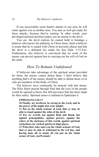If you successfully resist Satan's attacks in one area, he will come against you in another area. You may as well get ready for these attacks, because they're coming. In other words, your privileged spiritual position makes you an enemy to the devil.

You see, the devil realizes he cannot hold in bondage a believer who knows his authority in Christ Jesus. Such a believer is aware that he is seated with Christ in heavenly places and that the devil is a defeated foe under his feet (Eph. 1:15-2:6). Furthermore, this believer is convinced that no work of the enemy can prevail against him in carrying out the will of God on the earth.

### *How To Remain Undefeated*

If believers take advantage of the spiritual armor provided for them, the enemy cannot defeat them. I don't believe that anything that's of the enemy should be able to defeat those of us who are members of the Body of Christ.

The believer *must* continually be arrayed with this armor. The Holy Spirit prayed through Paul that the eyes of the people would be opened to know this full provision that has been made for their safety. Spiritual armor is outlined in Ephesians 6:

#### **EPHESIANS 6:10-17**

**10 Finally, my brethren, be strong in the Lord, and in the power of his might [not your might].**

**11 Put on the whole armour of God, that ye may be able to stand against the wiles of the devil.**

**12 For we wrestle not against flesh and blood, but against principalities, against powers, against the rulers of the darkness of this world, against spiritual wickedness [or wicked spirits] in high places.**

**13 Wherefore take unto you the whole armour of God, that ye may be able to withstand in the evil day, and having done all, to stand. [If you put on the whole armor of God, you'll stand.]**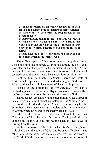**14 Stand therefore, having your loins girt about with truth, and having on the breastplate of righteousness; 15 And your feet shod with the preparation of the gospel of peace;**

**16 ABOVE ALL, taking the shield of faith, wherewith ye shall be able to quench all the fiery darts of the wicked. [Not one fiery dart should get through to your body, soul, or mind, because you've got the shield of faith.]**

**17 And take the helmet of salvation, and the sword of the Spirit, which is the word of God.**

The different parts of this armor symbolize spiritual truths which belong to the believer. Wearing this armor, the believer is protected and unhampered in his ministry of authority. All he needs to be concerned about is keeping his armor bright and well secured about him. Now let's take a closer look at this armor:

First, as John A. MacMillan taught, there's the girdle of *truth,* which represents a clear understanding of God's Word. Like a soldier's belt, it holds the rest of the armor in place.

Second is the breastplate of *righteousness.* This has a twofold application: Jesus is our Righteousness, and we put Him on first. It also shows our obedience to the Word of God.

Third, our feet are shod with the preparation of the Gospel of *peace.* This is a faithful ministry proclaiming the Word of God.

Fourth is the shield of *faith.* A shield is a covering for the entire body. This represents our complete safety under the blood of Christ, where no power of the enemy can penetrate.

Fifth is the helmet of *salvation,* referred to in First Thessalonians 5:8 as the hope of salvation. The hope of salvation is the only helmet able to protect the head in these days of turning from the truth.

Sixth is the sword of the Spirit, which is *the Word of God.* This shows that the Word of God is to be used offensively. The other parts of the armor are mainly defensive, but the sword the Word of God—is an active weapon. Dressed in the armor of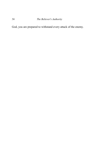God, you are prepared to withstand every attack of the enemy.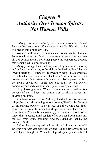# *Chapter 8 8. Authority Over Demon Spirits, Not Human Wills*

*Although we have authority over demon spirits, we do not have authority over our fellowmen or their wills.* We miss it a lot of times in thinking that we do.

We have authority over demons, and we can control them as far as our lives or our family's lives are concerned, but we can't always control them when other people are concerned, because that person's will comes into play.

Many years ago I was holding a meeting here in Oklahoma, and as I was ministering to the sick in the healing line, I had an inward intuition—I knew by the inward witness—that somebody in the line had a demon in him. That doesn't mean he was demon possessed—that's a different thing entirely. To be possessed is to be taken over entirely—spirit, soul, and body. You can *have* a demon in your body without being *possessed* by a demon.

I kept looking around. When a certain man stood within four persons of me, I knew the demon was in him. I never said anything out loud.

You have to realize this: Although the devil does know some things, he is not all-knowing, or omniscient, like God is. Because of his psychic powers, you can see that the devil does know some things. Some fortunetellers do predict events that come to pass. *The devil even knows some of your thoughts.* How do we know this? Because mind readers often can read your mind and tell you what you're thinking. And they don't do that by the power of God.

Before the man stepped in front of me I thought to myself, I'*m going to cast that thing out of him.* I didn't say anything out loud; I just thought it. When he stepped up in place, before I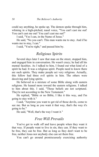could say anything, he spoke up. The demon spoke through him, whining in a high-pitched, nasal voice, "You can't cast me out! You can't cast me out! You can't cast me out!"

I said, "Yes I can, in the Name of Jesus."

He said, "No you can't. This man wants me to stay. And if he wants me to stay, I can."

I said, "You're right," and passed him by.

### *Religious Spirits*

Several days later I saw that man on the street, stopped him, and engaged him in conversation. He wasn't crazy; he had all his mental faculties. As I talked to him, I found out what kind of a spirit he had. It was a religious spirit. People need to know there are such spirits. They make people act very religious. Actually, this fellow had three evil spirits in him. The others were deceiving and lying spirits.

He believed in a mixture of some Bible along with eastern religions. He leaned more toward the eastern religions. I talked to him about this. I said, "Those beliefs are not scriptural. They're not according to the New Testament."

He replied, "Bible or no Bible, I like it this way, and I'm going to stay with it."

I said, "Anytime you want to get rid of those devils, come to see me. But as long as you want it that way, that's the way it's going to be."

He said, "Well, that's the way I want it."

# *Free Will Prevails*

You've got to walk off and leave people when they want it that way. If people want to live in sin, they can. If they want to be free, they can be free. But as long as they don't want to be free, neither Jesus nor anybody else can set them free.

You can't go around promiscuously exercising authority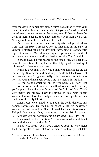over the devil in somebody else. You've got authority over your own life and with your own family. But you can't cast the devil out of everyone you meet on the street, even if they *do* have the devil in them, because they have authority over their own lives. When people want help, that's another matter.

It's strange that sometimes even Spirit-filled people don't want help. In 1954 I preached for the first time in the state of Oregon. I started off on Sunday night preaching an evangelistic type of sermon. On Monday night I preached on faith. I announced that there would be a healing service Tuesday night.

In those days, I'd put people in the same line, whether they came for salvation, the baptism in the Holy Spirit, or healing. I ministered to them one at a time.

I came to a woman. There was a man with her, and he did all the talking. She never said anything. I could tell by looking at her that she wasn't right mentally. The man said his wife was very nervous and had spent some time in a mental institution.

Let me point something out to you here. You don't just exercise spiritual authority on behalf of other people per se; you've got to have the manifestation of the Spirit of God. That's why many are failing. They are trying to deal with spirits without the word of knowledge, discerning of spirits, or any unction of the Holy Ghost.

When Jesus once talked to me about the devil, demons, and demon possession, [\\*](#page-58-0) He used as an example the girl possessed with a spirit of divination. She followed Paul and Silas around Philippi *"for many days,*" according to Acts 16:18, saying, "..*.These men are the servants of the most high God....*" (v. 17).

Jesus asked me this question: "Do you know why Paul didn't deal with that spirit the first day?"

I said, "No, I really don't. I've wondered about it. Why didn't Paul, an apostle, a man of God, a man of authority, just take

<span id="page-58-0"></span><sup>\*</sup> For an account of Rev. Kenneth E. Hagin's major visions of Jesus, *see* his book, *I Believe in Visions.*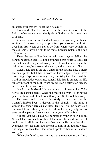authority over that evil spirit the first day?"

Jesus said, "He had to wait for the manifestation of the Spirit; he had to wait until the Spirit of God gave him discerning of spirits."

You see, you can run the devil away from you or your house anytime. If a person is on your premises, you also have authority over him. But when you get away from where *your* domain is, the evil spirits have a right to be there, because Satan is the god of this world!

That's the reason Paul had to wait many days to deliver the demon-possessed girl. He didn't command that spirit to leave her the first day she began following him. He waited, and when the right time came, he spoke to that spirit, and it came out of her.

When I laid hands on the woman in the healing line, I didn't see any spirits, but I had a word of knowledge. I didn't have discerning of spirits operating in my ministry then but I had the word of knowledge operating. When I laid hands on her, her life ran off in front of me as if I were seeing it on a television screen, and I knew the whole story.

I said to her husband, "I'm not going to minister to her. Take her to the pastor's study. When the meeting's over, I'll bring the pastor with me and I'll talk to both of you." So he took her away.

The pastor and I went to his study. I found out that the woman's husband was a deacon in this church. I told him, "I wanted the pastor here as a witness. He'll tell you he hasn't said one word to me about your wife. I don't know anybody in this state but this pastor. I never saw you or your wife before.

"I'll tell you why I did not minister to your wife in public. When I laid my hands on her, I knew on the inside of me—I could see it all in an instant—that your wife once heard an evangelist say the Lord had spoken to him in an audible voice. She began to seek that God would speak to her in an audible voice, too.

"What she failed to realize was that the evangelist didn't say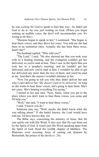he was *seeking* for God to speak to him that way—he didn't ask God to do it—he was just waiting on God. (When you begin seeking an audible voice, the devil will accommodate you. It's wrong to do this.)

"Demons began to speak to her," I continued. "She began to hear these voices, and they drove her crazy. You told me she had been in an institution once. Actually she has been there twice, hasn't she?"

The husband replied, "Who told you?"

"The Lord," I said. "He also showed me that you took your wife to a healing meeting, and the evangelist couldn't get her delivered, so you're mad at him. Then I saw in the Spirit that you took her to a prophet's meeting, and he couldn't get her delivered, and now you're mad at him. I wouldn't be able to get her delivered any more than the two of them, and you'd be mad at me. And that's the reason I wouldn't minister to her.

"Now I'm going to tell you why they didn't deliver her and why I can't deliver her: *She doesn't want to be delivered.* As long as she wants to hear these voices, she's going to hear them. She's not crazy. She's hearing everything I'm saying."

I turned to her and said, "Now, Sister, when you get to the place where you don't want to hear these voices, you come and I'll help you."

"Well," she said, "I want to hear these voices."

I said, "I know you do."

Someone may say, "Well, maybe she didn't know what she was talking about." If she hadn't known, the Lord would have told me. I'd have known that, too.

The Bible says, concerning the ministry of Jesus, that He cast spirits out with His Word. It also says that He cast them out by the Spirit of God. It wasn't just His Word speaking apart from the Spirit of God. Read the twelfth chapter of Matthew. The Pharisees were accusing Jesus of casting out demons by Beelzebub, the prince of the devils (v. 24).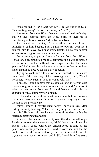Jesus replied, ".. *.if I cast out devils by the Spirit of God, then the kingdom of God is come unto* you" (v. 28).

We know from the Word that we have spiritual authority, but we must depend upon the Holy Spirit to help us in ministering authority. We can't do it by ourselves.

As I mentioned earlier, if the devil attacks me, I have authority over him, because I have authority over my own life. I can tell him to leave my house immediately. I also can control situations as long as people are in my presence.

For example, a pastor friend of mine from Fort Worth, Texas, once accompanied me to a campmeeting I was to preach in California. He had suffered from sugar diabetes for many years and had to test his urine every morning to determine how much insulin he needed for his daily injection.

Trying to teach him a lesson of faith, I turned to him as we pulled out of the driveway of his parsonage and I said, "You'll never register any sugar as long as you're with me."

You see, I could control that disease as long as he was with me—as long as he was on my premises. But I couldn't control it when he was away from me. I would have to train him to exercise spiritual authority for himself.

He looked at me as if he didn't believe me, but he was with me almost two weeks and he never registered any sugar, even though he ate pie and cake.

"Now I know I'll register sugar today," he would say. After testing himself, he'd say, "That beats anything I've ever seen in my life!" He later told me he was home three days before he started registering sugar again.

You see, I had claimed authority over that disease. Although I had control over the unseen force, I didn't have control over the pastor's will. I could control the unseen force as long as the pastor was in my presence, and I tried to convince him that he could exercise the same authority, but he didn't catch on. He *expected* the diabetes to return, and it did. It took him five years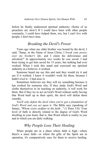before he finally understood spiritual authority. (Some of us preachers are slow!) If I could have been with other people constantly, I could have helped them, too, but I can't live with people; I don't have time.

## *Breaking the Devil's Power*

Years ago when my older brother was bound by the devil, I said, "Satan, in the Name of Jesus Christ, I *break your power over my brother's life,* and I claim his deliverance and salvation!" In approximately two weeks he was saved. I had been trying to get him saved for 15 years, but nothing had ever worked. When I took this stand and exercised my spiritual authority as a believer, it worked.

Someone heard me say this and said they would try it and see if it worked. I knew it wouldn't work for them, because I hadn't *tried* it—I had *done* it.

Sometimes believers say they will try something because it has worked for someone else. If they study God's Word and clothe themselves in its teaching on authority, it will work for them. But if they try to act on God's Word without really having that Word built up in their spirit, the devil will defeat them soundly.

*You'll only defeat the devil when you've got a foundation of God's Word and you act upon it.* The Bible says (speaking of Satan), *"Whom resist stedfast in the faith..."* (1 Peter 5:9). Your level of faith is directly related to the degree of God's Word dwelling in your heart, that is, that Word which is reality to you and in which you are daily walking.

# *Why People Lose Their Healing*

When people are in a place where faith is high—where there's a mass faith—or where the gifts of the Spirit are in operation, it's comparatively easy for them to receive healing.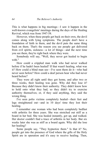This is what happens in big meetings—I saw it happen in the well-known evangelists' meetings during the days of the Healing Revival, which was from 1947-58.

However, when these people get back on their own, the devil comes along with lying symptoms. The people don't have a foundation of faith in them, and the devil puts the same thing back on them. That's the reason you see people get delivered from evil spirits, sickness—a lot of things—and the next time you see them, they're right back where they were.

Somebody will say, "Well, they never got healed to begin with "

How could a crippled man walk who had never walked before if he hadn't been healed? If that wasn't healing, what was it? How could a blind man see—I've seen them do it—who had never seen before? How could a deaf person hear who had never heard before?

They were all right until they got home, and after two or three weeks, their healing was gone. Why did they lose it? Because they didn't know their authority. They didn't know how to hold onto what they had, so they didn't try to exercise authority themselves; or, if they said anything, they said the wrong thing.

I've seen polio victims completely healed—their feet and legs straightened out—and in 10 days' time they lost their healing.

I remember one woman who had been completely bedfast with arthritis for three years. She was stretched out stiff as a board in her bed. She was healed instantly, got up, and walked. Her doctor couldn't find a trace of arthritis in her body. But six weeks later she was as stiff as a board again. Why did she lose her healing?

Some people say, "They hypnotize them." Is that it? No, people get into the presence of God where the gifts of the Holy Spirit are in operation and it's easy to receive healing. Then,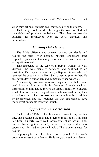when they get back on their own, they're really on their own.

That's why people need to be taught the Word of God and their rights and privileges as believers. Then they can exercise authority for themselves over the devil, diseases, and circumstances.

### *Casting Out Demons*

The Bible differentiates between casting out devils and healing the sick. Often people's physical conditions don't respond to prayer and the laying on of hands because there is an evil spirit involved.

This happened in the case of a Baptist woman in New Orleans. She was mentally deranged and confined to an institution. One day a friend of mine, a Baptist minister who had received the baptism in the Holy Spirit, went to pray for her. He cast seven devils out of her, and immediately she was well.

A university professor who was acquainted with her case used it as an illustration in his lectures. It made such an impression on him that he invited the Baptist minister to discuss it with him. As a result, the professor's wife received the baptism in the Holy Spirit. The professor not only sought to be filled, but he incorporated into his teachings the fact that demons have more effect on people than was thought.

### *Oppression vs. Possession*

Back in the 1950s a church member came in my healing line, and I realized the man had a demon in his body. This man had been in nearly every well-known evangelist's healing line, but he hadn't gotten healed, because that spirit that was oppressing him had to be dealt with. This wasn't a case for healing.

In praying for him, I explained to the people, "This man's body is *oppressed* by a demon. He is not *possessed* by a demon.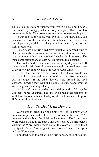I'll use this illustration: Suppose you live in a house built nearly one hundred years ago, and somebody tells you, 'That house has got termites in it.' That doesn't mean you've got termites in *you!*

"Your body is the house you live in. If you know how, you can keep the termites out of your natural house—and the demons out of your physical house. They won't be there if you use the right precautions."

I once heard a Spirit-filled psychiatrist who donated time to charity hospitals in his area. In one mental institution he decided to experiment with a man who hadn't spoken in three years. The man stared straight ahead with no expression, like a statue.

The doctor said, "I laid hands on him every day and said, 'If there are evil spirits here, I rebuke them and command every one of them to leave in the Name of the Lord Jesus Christ.'"

If the other doctors weren't around, this doctor would lay hands on the patient and pray out loud over him five minutes a day in tongues. If the other doctors were around, he used wisdom, knowing they wouldn't be able to understand what he was doing, and he'd pray silently.

In 10 days' time the patient was talking, and in 30 days he was sent home as cured. The doctor helped other patients as well. God honors faith, and the Spirit of God knows how to pray. He's the Author of prayer.

### *How To Deal With Demons*

We've got to depend on the Spirit of God to know when demons are present and to know how to deal with them. We're helpless without both the Spirit and the Word. Don't just be a Word person without the Spirit, and don't just be a Spirit person without the Word. Many try to act on the Word of God without the Spirit of God. You've got to have both of them. The Spirit and the Word agree.

You don't need to deal with a spirit in every case of healing.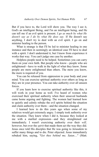But if you have to, the Lord will show you. The way I see it, God's an intelligent Being, and I'm an intelligent being, and He can tell me if an evil spirit is present. *I go as much by what He doesn't say as I do by what He does say.* If He doesn't say anything, I don't try to deal with an evil spirit. I go on and minister healing to the person.

What is strange is that I'll be led to minister healing in one instance and then in seemingly an identical case I'll have to deal with a spirit. I don't understand it, but I know from experience it works that way. You can't judge one case by another.

Helpless people need to be helped. Sometimes you can carry them on your own faith. But people who know—people who are enlightened—have to walk in the light of what they know. Some people are more enlightened than others. The more you know, the more is required of you.

You can be released from oppression to your body and your mind. You can exercise spiritual authority over others as long as they are in your presence. You can take authority over all unseen **forces** 

If you learn how to exercise spiritual authority like this, it will work in your home as well. I've heard of women who exercised their spiritual authority when their unsaved husbands came home arguing and fighting. The women had learned how to quietly and calmly rebuke the evil spirits behind the situation and claim authority over them—and the situation changed.

I learned how to do this years ago when some of my relatives would get extremely angry. I simply took authority over the situation. They knew when I did it, because they looked at me with a startled expression—and they straightened out immediately. I wasn't exercising authority over their *will,* however, but over the *spirit* that made them act the way they did. Jesus once told His disciples that He was going to Jerusalem to suffer many things and to die. Peter objected. Jesus immediately rebuked him, saying, *"Get thee behind me, Satan....*" (Matt.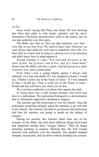16:23).

Jesus wasn't saying that Peter was Satan. He was showing that Peter had sided in with doubt, unbelief, and the devil. Sometimes Christians unconsciously yield to the enemy, but we can take authority over that spirit.

The Bible says that we also can take authority over fear even fear in our own lives. We need to know that. However, we can't always take authority over fear in somebody else's life. I've been able to control fear as long as a person was in my presence and didn't know how to stand against it.

Second Timothy 1:7 says, *"For God hath not given us the spirit of fear; but of power, and of love, and of a sound mind.*" Notice that the Bible calls fear a spirit. God has given us a spirit of power, love, and a sound mind.

Even when I was a young Baptist pastor, I always took authority over fear and doubt. If I was tempted to doubt, I would say, "Doubt, I resist you in the Name of Jesus." If I was tempted to fear, I would say, "Fear, I resist you in the Name of Jesus." Doubt and fear will leave you when you do this.

We even have authority over those who oppose the truth.

In Texas there was a Full Gospel minister who lived next door to a policeman. The policeman belonged to a denomination that is vehemently opposed to speaking in tongues.

The minister got the policeman to visit his church. Then the policeman somewhat jokingly asked the minister to go with him to his church. The minister decided to go because the policeman told him his minister was going to speak on the subject of tongues.

During his sermon, this minister didn't base any of his remarks on the Bible, but told about different things he'd heard had happened among these "tongue talkers." Then he began imitating speaking in tongues. Hearing this, the Full Gospel minister took authority over the situation. The speaker stopped abruptly, turned pale, and sat down without finishing his sermon.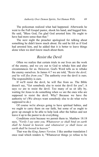The policeman realized what had happened. Afterwards he went to the Full Gospel pastor, shook his hand, and hugged him. He said, "Bless God, I'm glad God arrested him. He ought to have had more sense than that."

The next night the preacher apologized for talking about something he didn't know much about. He said he felt as if God had arrested him, and he added that it is better to leave things alone when we don't know much about them.

### *Resist the Devil*

Often we realize that certain trials in our lives are the work of the enemy, and we cry out to God to rebuke him and alter circumstances for us. However, God's Word tells us to rebuke the enemy ourselves. In James 4:7 we are told, *"Resist the devil, and he will flee from you,*" The authority over the devil is ours. The responsibility is ours.

If we'll resist the devil, he will flee from us. The Bible doesn't say, "Get somebody else to resist the devil for you"; it says *we* are to resist the devil. Too many of us sit idly by, waiting for Jesus to do something when *we* are the ones who are supposed to resist the devil. Why? Because we have the authority to! (We always want somebody else to do what we're supposed to do.)

Of course we're always going to have spiritual babies, and we ought to carry them on our faith, but some of us ought to grow up enough to be able to help look after the babies and not leave it up to the pastor to do everything.

Conditions exist because we permit them to. Matthew 18:18 says, *"Verily I say unto you, Whatsoever ye shall bind on earth shall be bound in heaven: and whatsoever ye shall loose on earth shall be loosed in heaven.*"

That was the *King James Version.* I like another translation I once read which renders it, "Whatsoever things ye refuse to be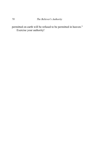permitted on earth will be refused to be permitted in heaven." Exercise your authority!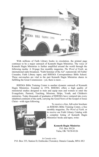

With millions of Faith Library books in circulation, the printed page continues to be a major outreach of Kenneth Hagin Ministries. The voice of Kenneth Hagin Ministries is further amplified around the world through the following media: A 24-page free monthly magazine, *The Word of Faith;* an international radio broadcast, "Faith Seminar of the Air"; nationwide All Faiths' Crusades; Faith Library tapes; and RHEMA Correspondence Bible School. These out-reaches are vital to the part Kenneth Hagin Ministries shares in fulfilling the Great Commission—yet, there is more . . .

RHEMA Bible Training Center is another dynamic outreach of Kenneth Hagin Ministries. Founded in 1974, RHEMA offers a high quality of ministerial studies designed to train and equip men and women to enter the Evangelistic, Pastoral, Teaching, Missions, Helps, Youth, and Children's ministries. Today thousands of graduates of RHEMA have ventured into every inhabited continent of the earth, carrying the Good News of the Gospel of Jesus Christ—with signs following.



To receive a free, full-color brochure on RHEMA Bible Training Center, a free monthly magazine, *The Word of Faith,* or to receive our Faith Library Catalog with a complete listing of Kenneth Hagin Ministries' books and tapes, write:

> **Kenneth Hagin Ministries** P.O. Box 50126 Tulsa, OK 74150-0126

*In Canada write:* P.O. Box 335, Station D, Etobicoke (Toronto), Ontario Canada, M9A 4X3